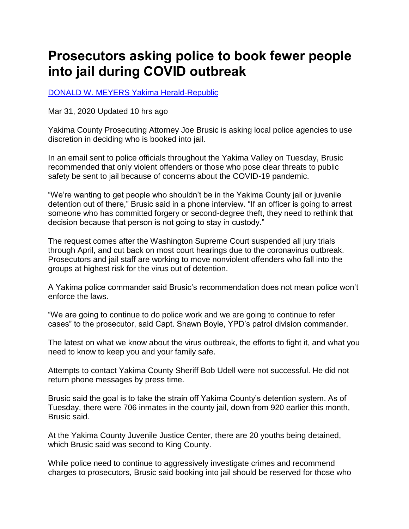## **Prosecutors asking police to book fewer people into jail during COVID outbreak**

[DONALD W. MEYERS Yakima Herald-Republic](https://www.yakimaherald.com/users/profile/Donald%20Meyers) 

Mar 31, 2020 Updated 10 hrs ago

Yakima County Prosecuting Attorney Joe Brusic is asking local police agencies to use discretion in deciding who is booked into jail.

In an email sent to police officials throughout the Yakima Valley on Tuesday, Brusic recommended that only violent offenders or those who pose clear threats to public safety be sent to jail because of concerns about the COVID-19 pandemic.

"We're wanting to get people who shouldn't be in the Yakima County jail or juvenile detention out of there," Brusic said in a phone interview. "If an officer is going to arrest someone who has committed forgery or second-degree theft, they need to rethink that decision because that person is not going to stay in custody."

The request comes after the Washington Supreme Court suspended all jury trials through April, and cut back on most court hearings due to the coronavirus outbreak. Prosecutors and jail staff are working to move nonviolent offenders who fall into the groups at highest risk for the virus out of detention.

A Yakima police commander said Brusic's recommendation does not mean police won't enforce the laws.

"We are going to continue to do police work and we are going to continue to refer cases" to the prosecutor, said Capt. Shawn Boyle, YPD's patrol division commander.

The latest on what we know about the virus outbreak, the efforts to fight it, and what you need to know to keep you and your family safe.

Attempts to contact Yakima County Sheriff Bob Udell were not successful. He did not return phone messages by press time.

Brusic said the goal is to take the strain off Yakima County's detention system. As of Tuesday, there were 706 inmates in the county jail, down from 920 earlier this month, Brusic said.

At the Yakima County Juvenile Justice Center, there are 20 youths being detained, which Brusic said was second to King County.

While police need to continue to aggressively investigate crimes and recommend charges to prosecutors, Brusic said booking into jail should be reserved for those who